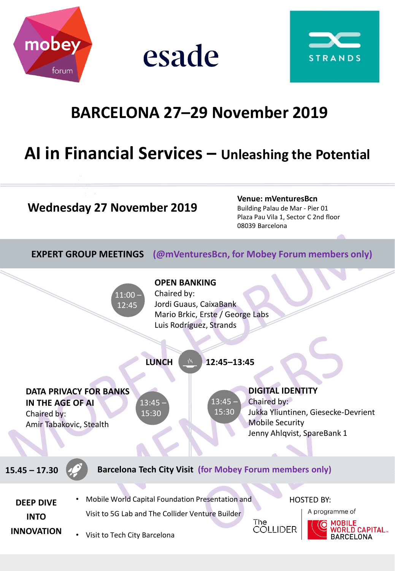

esade



# **BARCELONA 27–29 November 2019**

## **AI in Financial Services – Unleashing the Potential**

#### **Wednesday 27 November 2019**

**Venue: mVenturesBcn**  Building Palau de Mar - Pier 01

Plaza Pau Vila 1, Sector C 2nd floor 08039 Barcelona

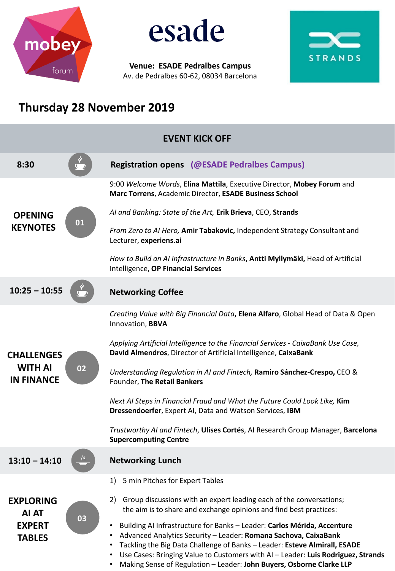

esade

**Venue: ESADE Pedralbes Campus** Av. de Pedralbes 60-62, 08034 Barcelona



### **Thursday 28 November 2019**

| <b>EVENT KICK OFF</b>                                       |    |                                                                                                                                                                                                                                                                                                                                                                                     |
|-------------------------------------------------------------|----|-------------------------------------------------------------------------------------------------------------------------------------------------------------------------------------------------------------------------------------------------------------------------------------------------------------------------------------------------------------------------------------|
| 8:30                                                        |    | <b>Registration opens (@ESADE Pedralbes Campus)</b>                                                                                                                                                                                                                                                                                                                                 |
| <b>OPENING</b><br><b>KEYNOTES</b>                           | 01 | 9:00 Welcome Words, Elina Mattila, Executive Director, Mobey Forum and<br>Marc Torrens, Academic Director, ESADE Business School                                                                                                                                                                                                                                                    |
|                                                             |    | Al and Banking: State of the Art, Erik Brieva, CEO, Strands                                                                                                                                                                                                                                                                                                                         |
|                                                             |    | From Zero to AI Hero, Amir Tabakovic, Independent Strategy Consultant and<br>Lecturer, experiens.ai                                                                                                                                                                                                                                                                                 |
|                                                             |    | How to Build an AI Infrastructure in Banks, Antti Myllymäki, Head of Artificial<br>Intelligence, OP Financial Services                                                                                                                                                                                                                                                              |
| $10:25 - 10:55$                                             |    | <b>Networking Coffee</b>                                                                                                                                                                                                                                                                                                                                                            |
| <b>CHALLENGES</b><br><b>WITH AI</b><br><b>IN FINANCE</b>    | 02 | Creating Value with Big Financial Data, Elena Alfaro, Global Head of Data & Open<br>Innovation, BBVA                                                                                                                                                                                                                                                                                |
|                                                             |    | Applying Artificial Intelligence to the Financial Services - CaixaBank Use Case,<br>David Almendros, Director of Artificial Intelligence, CaixaBank                                                                                                                                                                                                                                 |
|                                                             |    | Understanding Regulation in AI and Fintech, Ramiro Sánchez-Crespo, CEO &<br>Founder, The Retail Bankers                                                                                                                                                                                                                                                                             |
|                                                             |    | Next AI Steps in Financial Fraud and What the Future Could Look Like, Kim<br>Dressendoerfer, Expert AI, Data and Watson Services, IBM                                                                                                                                                                                                                                               |
|                                                             |    | Trustworthy AI and Fintech, Ulises Cortés, AI Research Group Manager, Barcelona<br><b>Supercomputing Centre</b>                                                                                                                                                                                                                                                                     |
| 13:10<br>14.10                                              | Ŷ١ | <b>Networking Lunch</b>                                                                                                                                                                                                                                                                                                                                                             |
| <b>EXPLORING</b><br>AI AT<br><b>EXPERT</b><br><b>TABLES</b> | 03 | 5 min Pitches for Expert Tables<br>1)                                                                                                                                                                                                                                                                                                                                               |
|                                                             |    | Group discussions with an expert leading each of the conversations;<br>2)<br>the aim is to share and exchange opinions and find best practices:                                                                                                                                                                                                                                     |
|                                                             |    | Building AI Infrastructure for Banks - Leader: Carlos Mérida, Accenture<br>Advanced Analytics Security - Leader: Romana Sachova, CaixaBank<br>Tackling the Big Data Challenge of Banks - Leader: Esteve Almirall, ESADE<br>Use Cases: Bringing Value to Customers with AI - Leader: Luis Rodriguez, Strands<br>Making Sense of Regulation - Leader: John Buyers, Osborne Clarke LLP |